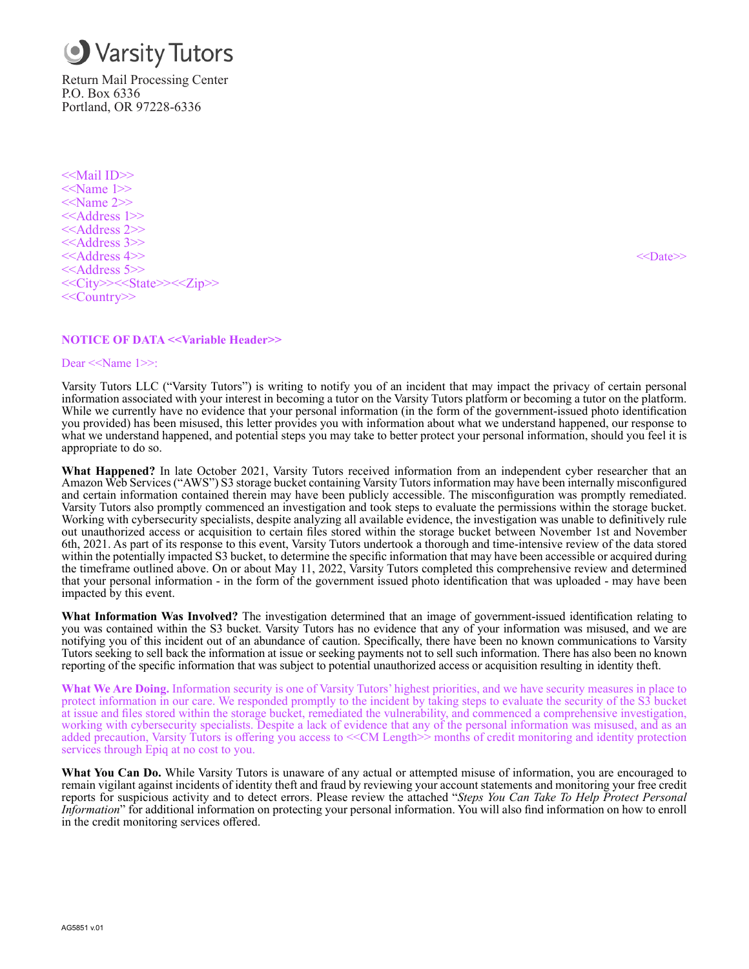

Return Mail Processing Center P.O. Box 6336 Portland, OR 97228-6336

<<Mail ID>> <<Name 1>>  $<<$ Name 2>> <<Address 1>> <<Address 2>> <<Address 3>> <<Address 4>> <<Date>> <<Address 5>> <<City>><<State>><<Zip>> <<Country>>

## **NOTICE OF DATA <<Variable Header>>**

#### Dear <<Name 1>>:

Varsity Tutors LLC ("Varsity Tutors") is writing to notify you of an incident that may impact the privacy of certain personal information associated with your interest in becoming a tutor on the Varsity Tutors platform or becoming a tutor on the platform. While we currently have no evidence that your personal information (in the form of the government-issued photo identification you provided) has been misused, this letter provides you with information about what we understand happened, our response to what we understand happened, and potential steps you may take to better protect your personal information, should you feel it is appropriate to do so.

**What Happened?** In late October 2021, Varsity Tutors received information from an independent cyber researcher that an Amazon Web Services ("AWS") S3 storage bucket containing Varsity Tutors information may have been internally misconfigured and certain information contained therein may have been publicly accessible. The misconfiguration was promptly remediated. Varsity Tutors also promptly commenced an investigation and took steps to evaluate the permissions within the storage bucket. Working with cybersecurity specialists, despite analyzing all available evidence, the investigation was unable to definitively rule out unauthorized access or acquisition to certain files stored within the storage bucket between November 1st and November 6th, 2021. As part of its response to this event, Varsity Tutors undertook a thorough and time-intensive review of the data stored within the potentially impacted S3 bucket, to determine the specific information that may have been accessible or acquired during the timeframe outlined above. On or about May 11, 2022, Varsity Tutors completed this comprehensive review and determined that your personal information - in the form of the government issued photo identification that was uploaded - may have been impacted by this event.

**What Information Was Involved?** The investigation determined that an image of government-issued identification relating to you was contained within the S3 bucket. Varsity Tutors has no evidence that any of your information was misused, and we are notifying you of this incident out of an abundance of caution. Specifically, there have been no known communications to Varsity Tutors seeking to sell back the information at issue or seeking payments not to sell such information. There has also been no known reporting of the specific information that was subject to potential unauthorized access or acquisition resulting in identity theft.

**What We Are Doing.** Information security is one of Varsity Tutors' highest priorities, and we have security measures in place to protect information in our care. We responded promptly to the incident by taking steps to evaluate the security of the S3 bucket at issue and files stored within the storage bucket, remediated the vulnerability, and commenced a comprehensive investigation, working with cybersecurity specialists. Despite a lack of evidence that any of the personal information was misused, and as an added precaution, Varsity Tutors is offering you access to <<CM Length>> months of credit monitoring and identity protection services through Epiq at no cost to you.

**What You Can Do.** While Varsity Tutors is unaware of any actual or attempted misuse of information, you are encouraged to remain vigilant against incidents of identity theft and fraud by reviewing your account statements and monitoring your free credit reports for suspicious activity and to detect errors. Please review the attached "*Steps You Can Take To Help Protect Personal Information*" for additional information on protecting your personal information. You will also find information on how to enroll in the credit monitoring services offered.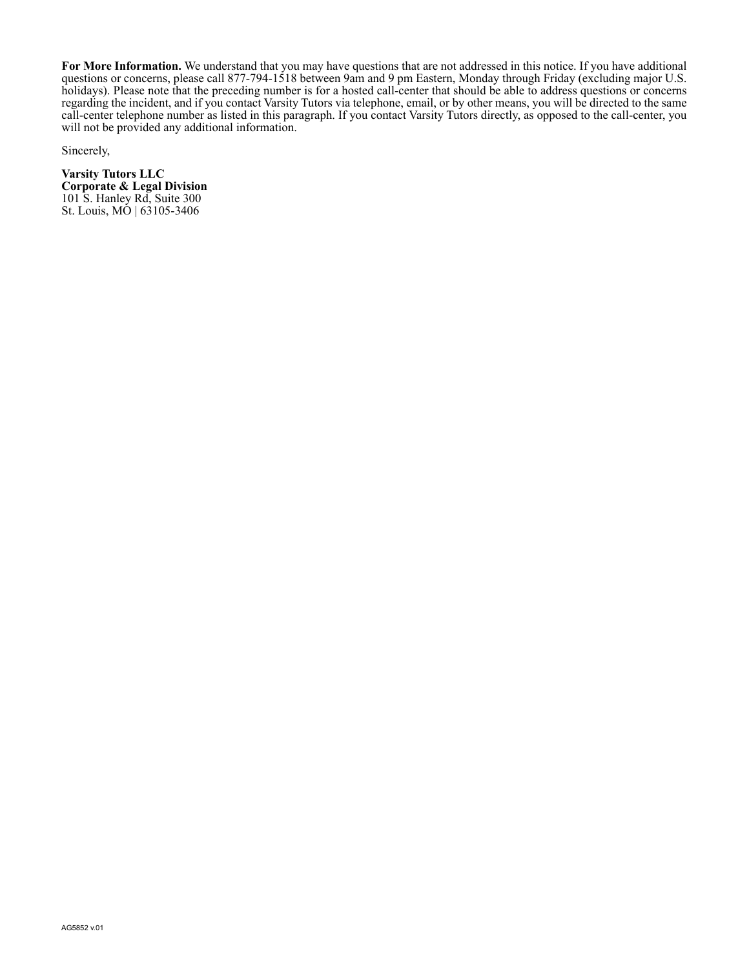**For More Information.** We understand that you may have questions that are not addressed in this notice. If you have additional questions or concerns, please call 877-794-1518 between 9am and 9 pm Eastern, Monday through Friday (excluding major U.S. holidays). Please note that the preceding number is for a hosted call-center that should be able to address questions or concerns regarding the incident, and if you contact Varsity Tutors via telephone, email, or by other means, you will be directed to the same call-center telephone number as listed in this paragraph. If you contact Varsity Tutors directly, as opposed to the call-center, you will not be provided any additional information.

Sincerely,

**Varsity Tutors LLC Corporate & Legal Division** 101 S. Hanley Rd, Suite 300 St. Louis, MO | 63105-3406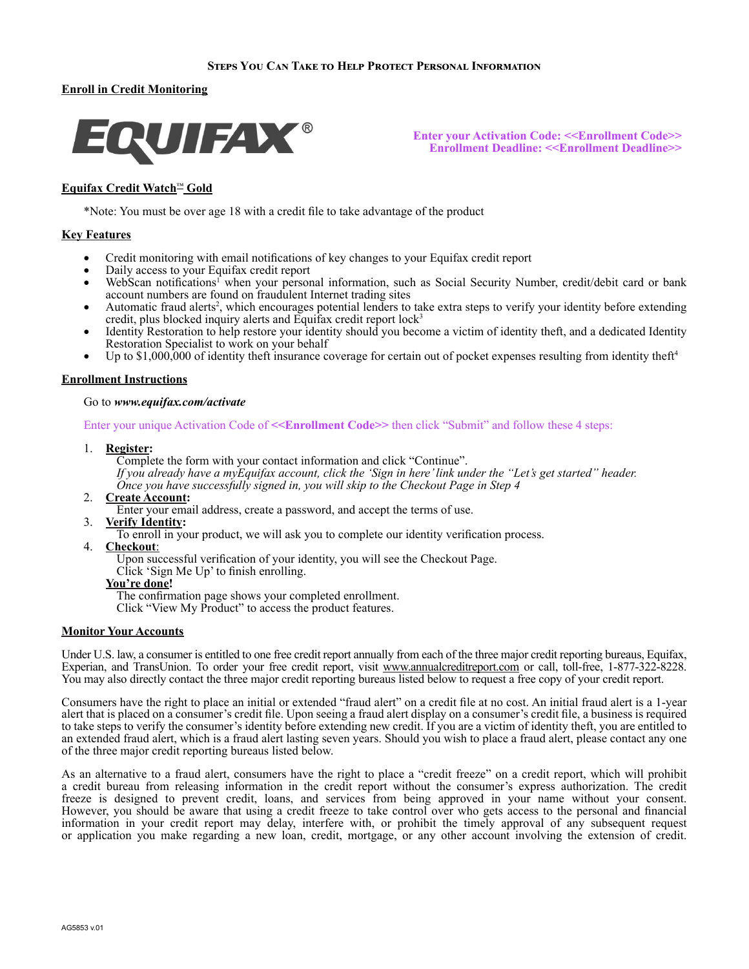## **Steps You Can Take to Help Protect Personal Information**

# **Enroll in Credit Monitoring**



**Enter your Activation Code: <<Enrollment Code>> Enrollment Deadline: <<Enrollment Deadline>>**

# **Equifax Credit Watch**™ **Gold**

\*Note: You must be over age 18 with a credit file to take advantage of the product

## **Key Features**

- Credit monitoring with email notifications of key changes to your Equifax credit report
- Daily access to your Equifax credit report
- WebScan notifications<sup>1</sup> when your personal information, such as Social Security Number, credit/debit card or bank account numbers are found on fraudulent Internet trading sites
- Automatic fraud alerts<sup>2</sup>, which encourages potential lenders to take extra steps to verify your identity before extending credit, plus blocked inquiry alerts and Equifax credit report lock<sup>3</sup>
- Identity Restoration to help restore your identity should you become a victim of identity theft, and a dedicated Identity Restoration Specialist to work on your behalf
- Up to  $$1,000,000$  of identity theft insurance coverage for certain out of pocket expenses resulting from identity theft<sup>4</sup>

## **Enrollment Instructions**

#### Go to *www.equifax.com/activate*

Enter your unique Activation Code of  $\le$ **Enrollment Code>>** then click "Submit" and follow these 4 steps:

1. **Register:**

Complete the form with your contact information and click "Continue". *If you already have a myEquifax account, click the 'Sign in here' link under the "Let's get started" header. Once you have successfully signed in, you will skip to the Checkout Page in Step 4*

- 2. **Create Account:**
	- Enter your email address, create a password, and accept the terms of use.
- 3. **Verify Identity:**
	- To enroll in your product, we will ask you to complete our identity verification process.
- 4. **Checkout**:

Upon successful verification of your identity, you will see the Checkout Page. Click 'Sign Me Up' to finish enrolling.

#### **You're done!**

The confirmation page shows your completed enrollment.

Click "View My Product" to access the product features.

## **Monitor Your Accounts**

Under U.S. law, a consumer is entitled to one free credit report annually from each of the three major credit reporting bureaus, Equifax, Experian, and TransUnion. To order your free credit report, visit www.annualcreditreport.com or call, toll-free, 1-877-322-8228. You may also directly contact the three major credit reporting bureaus listed below to request a free copy of your credit report.

Consumers have the right to place an initial or extended "fraud alert" on a credit file at no cost. An initial fraud alert is a 1-year alert that is placed on a consumer's credit file. Upon seeing a fraud alert display on a consumer's credit file, a business is required to take steps to verify the consumer's identity before extending new credit. If you are a victim of identity theft, you are entitled to an extended fraud alert, which is a fraud alert lasting seven years. Should you wish to place a fraud alert, please contact any one of the three major credit reporting bureaus listed below.

As an alternative to a fraud alert, consumers have the right to place a "credit freeze" on a credit report, which will prohibit a credit bureau from releasing information in the credit report without the consumer's express authorization. The credit freeze is designed to prevent credit, loans, and services from being approved in your name without your consent. However, you should be aware that using a credit freeze to take control over who gets access to the personal and financial information in your credit report may delay, interfere with, or prohibit the timely approval of any subsequent request or application you make regarding a new loan, credit, mortgage, or any other account involving the extension of credit.